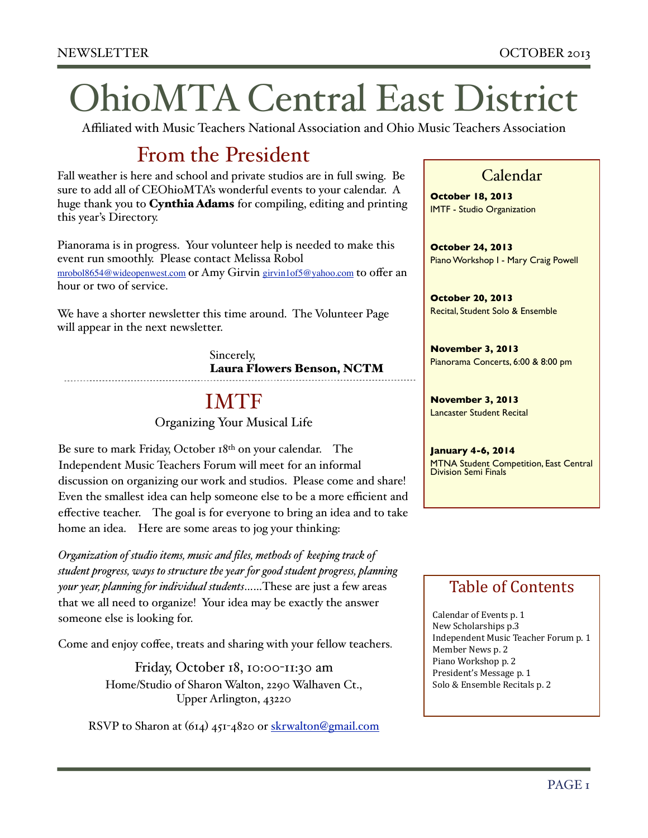# OhioMTA Central East District

Affiliated with Music Teachers National Association and Ohio Music Teachers Association

### From the President

Fall weather is here and school and private studios are in full swing. Be sure to add all of CEOhioMTA's wonderful events to your calendar. A huge thank you to Cynthia Adams for compiling, editing and printing this year's Directory.

Pianorama is in progress. Your volunteer help is needed to make this event run smoothly. Please contact Melissa Robol [mrobol8654@wideopenwest.com](mailto:mrobol8654@wideopenwest.com) or Amy Girvin [girvin1of5@yahoo.com](mailto:girvin1of5@yahoo.com) to offer an hour or two of service.

We have a shorter newsletter this time around. The Volunteer Page will appear in the next newsletter.

> Sincerely, Laura Flowers Benson, NCTM

## IMTF

Organizing Your Musical Life

Be sure to mark Friday, October 18th on your calendar. The Independent Music Teachers Forum will meet for an informal discussion on organizing our work and studios. Please come and share! Even the smallest idea can help someone else to be a more efficient and effective teacher. The goal is for everyone to bring an idea and to take home an idea. Here are some areas to jog your thinking:

*Organization of studio items, music and files, methods of keeping track of student progress, ways to structure the year for good student progress, planning your year, planning for individual students*……These are just a few areas that we all need to organize! Your idea may be exactly the answer someone else is looking for.

Come and enjoy coffee, treats and sharing with your fellow teachers.

Friday, October 18, 10:00-11:30 am Home/Studio of Sharon Walton, 2290 Walhaven Ct., Upper Arlington, 43220

RSVP to Sharon at (614) 451-4820 or [skrwalton@gmail.com](mailto:skrwalton@gmail.com)

#### Calendar

**October 18, 2013** IMTF - Studio Organization

**October 24, 2013** Piano Workshop I - Mary Craig Powell

**October 20, 2013** Recital, Student Solo & Ensemble

**November 3, 2013** Pianorama Concerts, 6:00 & 8:00 pm

**November 3, 2013** Lancaster Student Recital

**January 4-6, 2014 MTNA Student Competition, East Central** Division Semi Finals

### Table of Contents

Calendar of Events p. 1 New Scholarships p.3 Independent Music Teacher Forum p. 1 Member News p. 2 Piano Workshop p. 2 President's Message p. 1 Solo & Ensemble Recitals p. 2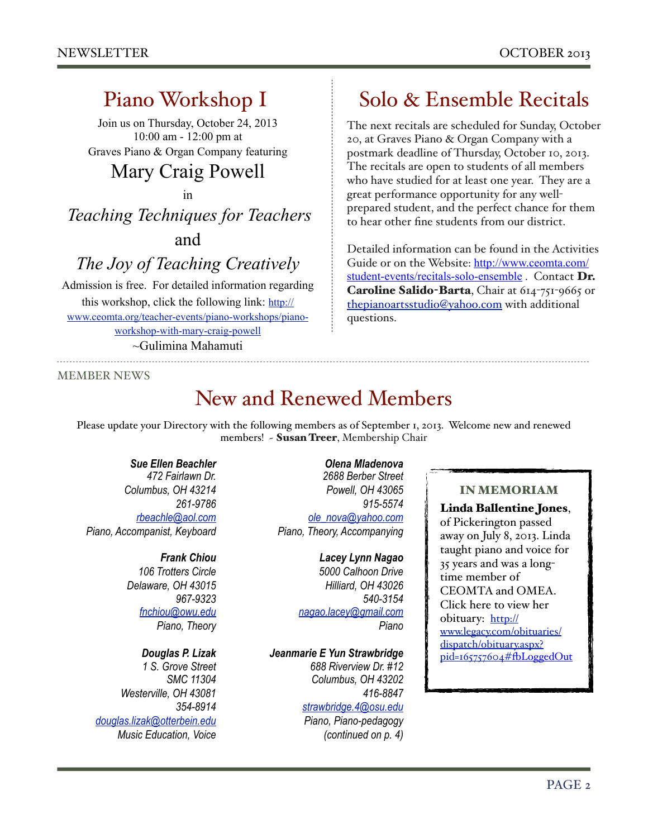### Piano Workshop I

Join us on Thursday, October 24, 2013 10:00 am - 12:00 pm at Graves Piano & Organ Company featuring

### Mary Craig Powell

in

*Teaching Techniques for Teachers*  and

*The Joy of Teaching Creatively*

Admission is free. For detailed information regarding this workshop, click the following link: [http://](http://www.ceomta.org/teacher-events/piano-workshops/piano-workshop-with-mary-craig-powell) [www.ceomta.org/teacher-events/piano-workshops/piano](http://www.ceomta.org/teacher-events/piano-workshops/piano-workshop-with-mary-craig-powell)[workshop-with-mary-craig-powell](http://www.ceomta.org/teacher-events/piano-workshops/piano-workshop-with-mary-craig-powell) ~Gulimina Mahamuti

#### MEMBER NEWS

### New and Renewed Members

Please update your Directory with the following members as of September 1, 2013. Welcome new and renewed members! ~ Susan Treer, Membership Chair

#### *Sue Ellen Beachler*

*472 Fairlawn Dr. Columbus, OH 43214 261-9786 [rbeachle@aol.com](mailto:rbeachle@aol.com) Piano, Accompanist, Keyboard*

#### *Frank Chiou*

*106 Trotters Circle Delaware, OH 43015 967-9323 [fnchiou@owu.edu](mailto:fnchiou@owu.edu) Piano, Theory*

#### *Douglas P. Lizak*

*1 S. Grove Street SMC 11304 Westerville, OH 43081 354-8914 [douglas.lizak@otterbein.edu](mailto:douglas.lizak@otterbein.edu) Music Education, Voice*

*Olena Mladenova 2688 Berber Street Powell, OH 43065 915-5574 [ole\\_nova@yahoo.com](mailto:ole_nova@yahoo.com) Piano, Theory, Accompanying*

> *Lacey Lynn Nagao 5000 Calhoon Drive Hilliard, OH 43026 540-3154 [nagao.lacey@gmail.com](mailto:nagao.lacey@gmail.com) Piano*

*Jeanmarie E Yun Strawbridge 688 Riverview Dr. #12 Columbus, OH 43202 416-8847 [strawbridge.4@osu.edu](mailto:strawbridge.4@osu.edu)*

*Piano, Piano-pedagogy (continued on p. 4)*

### Solo & Ensemble Recitals

The next recitals are scheduled for Sunday, October 20, at Graves Piano & Organ Company with a postmark deadline of Thursday, October 10, 2013. The recitals are open to students of all members who have studied for at least one year. They are a great performance opportunity for any wellprepared student, and the perfect chance for them to hear other fine students from our district.

Detailed information can be found in the Activities Guide or on the Website: [http://www.ceomta.com/](http://www.ceomta.com/student-events/recitals-solo-ensemble) [student-events/recitals-solo-ensemble](http://www.ceomta.com/student-events/recitals-solo-ensemble). Contact Dr. Caroline Salido-Barta, Chair at 614-751-9665 or [thepianoartsstudio@yahoo.com](mailto:thepianoartsstudio@yahoo.com) with additional questions.

#### IN MEMORIAM

Linda Ballentine Jones,

of Pickerington passed away on July 8, 2013. Linda taught piano and voice for 35 years and was a longtime member of CEOMTA and OMEA. Click here to view her obituary: [http://](http://www.legacy.com/obituaries/dispatch/obituary.aspx?pid=165757604#) [www.legacy.com/obituaries/](http://www.legacy.com/obituaries/dispatch/obituary.aspx?pid=165757604#) [dispatch/obituary.aspx?](http://www.legacy.com/obituaries/dispatch/obituary.aspx?pid=165757604#) [pid=165757604#](http://www.legacy.com/obituaries/dispatch/obituary.aspx?pid=165757604#)fbLoggedOut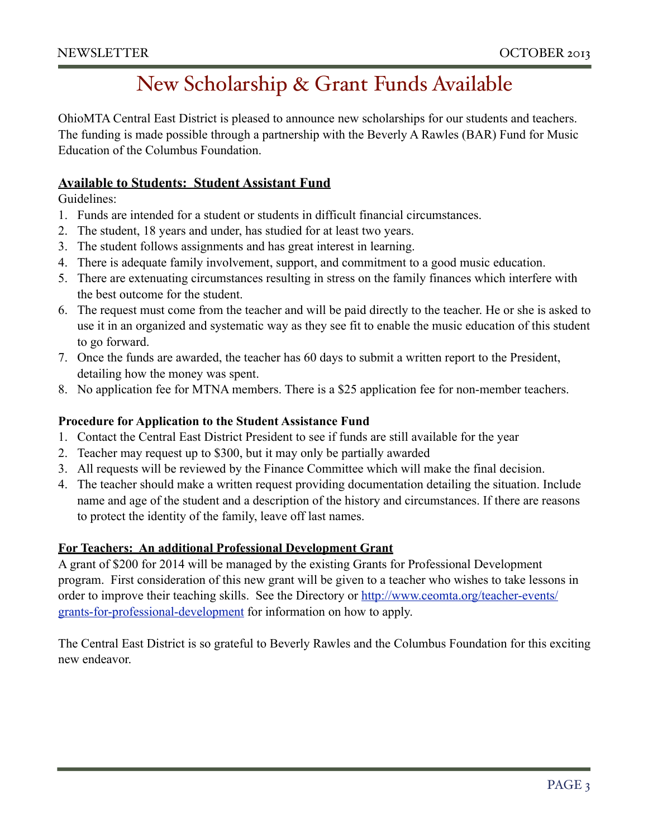### New Scholarship & Grant Funds Available

OhioMTA Central East District is pleased to announce new scholarships for our students and teachers. The funding is made possible through a partnership with the Beverly A Rawles (BAR) Fund for Music Education of the Columbus Foundation.

#### **Available to Students: Student Assistant Fund**

Guidelines:

- 1. Funds are intended for a student or students in difficult financial circumstances.
- 2. The student, 18 years and under, has studied for at least two years.
- 3. The student follows assignments and has great interest in learning.
- 4. There is adequate family involvement, support, and commitment to a good music education.
- 5. There are extenuating circumstances resulting in stress on the family finances which interfere with the best outcome for the student.
- 6. The request must come from the teacher and will be paid directly to the teacher. He or she is asked to use it in an organized and systematic way as they see fit to enable the music education of this student to go forward.
- 7. Once the funds are awarded, the teacher has 60 days to submit a written report to the President, detailing how the money was spent.
- 8. No application fee for MTNA members. There is a \$25 application fee for non-member teachers.

#### **Procedure for Application to the Student Assistance Fund**

- 1. Contact the Central East District President to see if funds are still available for the year
- 2. Teacher may request up to \$300, but it may only be partially awarded
- 3. All requests will be reviewed by the Finance Committee which will make the final decision.
- 4. The teacher should make a written request providing documentation detailing the situation. Include name and age of the student and a description of the history and circumstances. If there are reasons to protect the identity of the family, leave off last names.

#### **For Teachers: An additional Professional Development Grant**

A grant of \$200 for 2014 will be managed by the existing Grants for Professional Development program. First consideration of this new grant will be given to a teacher who wishes to take lessons in order to improve their teaching skills. See the Directory or [http://www.ceomta.org/teacher-events/](http://www.ceomta.org/teacher-events/grants-for-professional-development) [grants-for-professional-development](http://www.ceomta.org/teacher-events/grants-for-professional-development) for information on how to apply.

The Central East District is so grateful to Beverly Rawles and the Columbus Foundation for this exciting new endeavor.